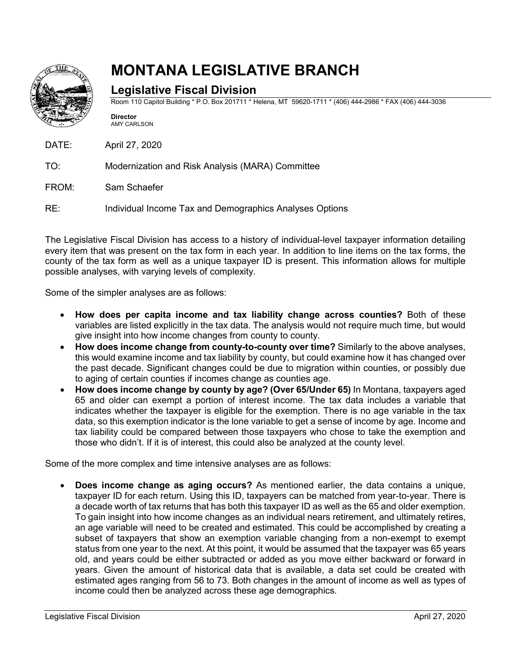

## **MONTANA LEGISLATIVE BRANCH**

## **Legislative Fiscal Division**

Room 110 Capitol Building \* P.O. Box 201711 \* Helena, MT 59620-1711 \* (406) 444-2986 \* FAX (406) 444-3036

**Director** AMY CARLSON

DATE: April 27, 2020

TO: Modernization and Risk Analysis (MARA) Committee

FROM: Sam Schaefer

RE: Individual Income Tax and Demographics Analyses Options

The Legislative Fiscal Division has access to a history of individual-level taxpayer information detailing every item that was present on the tax form in each year. In addition to line items on the tax forms, the county of the tax form as well as a unique taxpayer ID is present. This information allows for multiple possible analyses, with varying levels of complexity.

Some of the simpler analyses are as follows:

- **How does per capita income and tax liability change across counties?** Both of these variables are listed explicitly in the tax data. The analysis would not require much time, but would give insight into how income changes from county to county.
- **How does income change from county-to-county over time?** Similarly to the above analyses, this would examine income and tax liability by county, but could examine how it has changed over the past decade. Significant changes could be due to migration within counties, or possibly due to aging of certain counties if incomes change as counties age.
- **How does income change by county by age? (Over 65/Under 65)** In Montana, taxpayers aged 65 and older can exempt a portion of interest income. The tax data includes a variable that indicates whether the taxpayer is eligible for the exemption. There is no age variable in the tax data, so this exemption indicator is the lone variable to get a sense of income by age. Income and tax liability could be compared between those taxpayers who chose to take the exemption and those who didn't. If it is of interest, this could also be analyzed at the county level.

Some of the more complex and time intensive analyses are as follows:

• **Does income change as aging occurs?** As mentioned earlier, the data contains a unique, taxpayer ID for each return. Using this ID, taxpayers can be matched from year-to-year. There is a decade worth of tax returns that has both this taxpayer ID as well as the 65 and older exemption. To gain insight into how income changes as an individual nears retirement, and ultimately retires, an age variable will need to be created and estimated. This could be accomplished by creating a subset of taxpayers that show an exemption variable changing from a non-exempt to exempt status from one year to the next. At this point, it would be assumed that the taxpayer was 65 years old, and years could be either subtracted or added as you move either backward or forward in years. Given the amount of historical data that is available, a data set could be created with estimated ages ranging from 56 to 73. Both changes in the amount of income as well as types of income could then be analyzed across these age demographics.